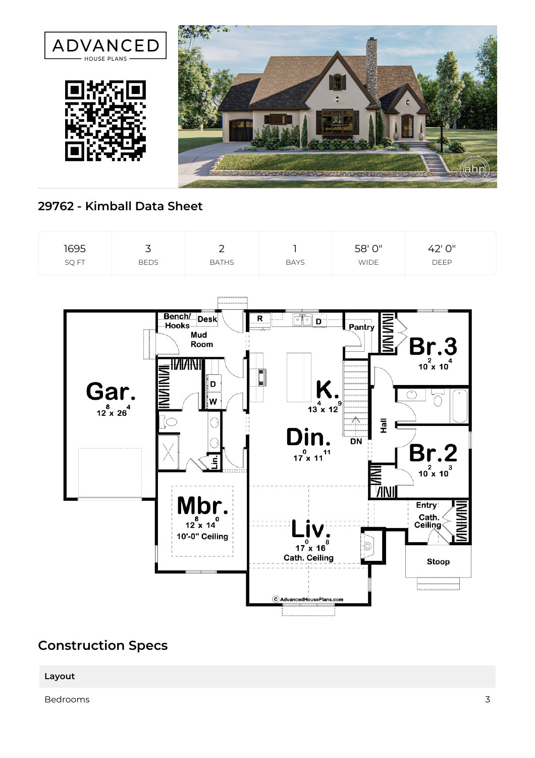

## **29762 - Kimball Data Sheet**



## **Construction Specs**

## **Layout**

Bedrooms 3